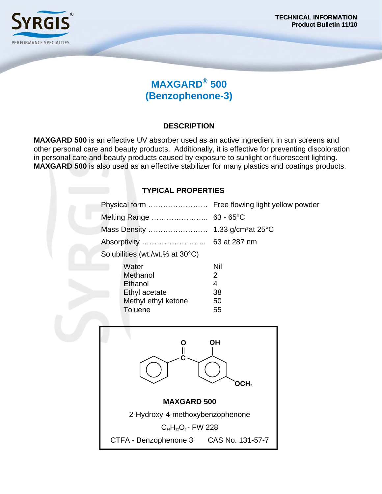

# **MAXGARD® 500 (Benzophenone-3)**

## **DESCRIPTION**

**MAXGARD 500** is an effective UV absorber used as an active ingredient in sun screens and other personal care and beauty products. Additionally, it is effective for preventing discoloration in personal care and beauty products caused by exposure to sunlight or fluorescent lighting. **MAXGARD 500** is also used as an effective stabilizer for many plastics and coatings products.

### **TYPICAL PROPERTIES**

| Physical form                                                                          | Free flowing light yellow powder                          |
|----------------------------------------------------------------------------------------|-----------------------------------------------------------|
| Melting Range  63 - 65°C                                                               |                                                           |
|                                                                                        |                                                           |
| Absorptivity                                                                           | 63 at 287 nm                                              |
| Solubilities (wt./wt.% at 30°C)                                                        |                                                           |
| Water<br>Methanol<br>Ethanol<br>Ethyl acetate<br>Methyl ethyl ketone<br><b>Toluene</b> | Nil<br>$\overline{2}$<br>$\overline{4}$<br>38<br>50<br>55 |
| <b>OH</b><br>O<br>$\mathbf l$<br>OCH <sub>3</sub>                                      |                                                           |
| <b>MAXGARD 500</b>                                                                     |                                                           |
| 2-Hydroxy-4-methoxybenzophenone                                                        |                                                           |
| $C_{14}H_{12}O_3$ - FW 228                                                             |                                                           |
| CTFA - Benzophenone 3 CAS No. 131-57-7                                                 |                                                           |